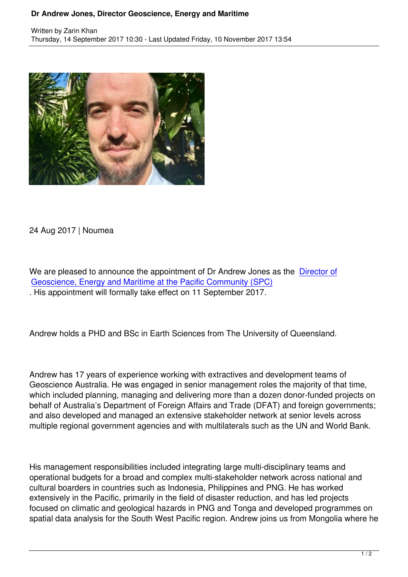

## 24 Aug 2017 | Noumea

We are pleased to announce the appointment of Dr Andrew Jones as the Director of Geoscience, Energy and Maritime at the Pacific Community (SPC) . His appointment will formally take effect on 11 September 2017.

Andrew holds a PHD and BSc in Earth Sciences from The University of Queensland.

Andrew has 17 years of experience working with extractives and development teams of Geoscience Australia. He was engaged in senior management roles the majority of that time, which included planning, managing and delivering more than a dozen donor-funded projects on behalf of Australia's Department of Foreign Affairs and Trade (DFAT) and foreign governments; and also developed and managed an extensive stakeholder network at senior levels across multiple regional government agencies and with multilaterals such as the UN and World Bank.

His management responsibilities included integrating large multi-disciplinary teams and operational budgets for a broad and complex multi-stakeholder network across national and cultural boarders in countries such as Indonesia, Philippines and PNG. He has worked extensively in the Pacific, primarily in the field of disaster reduction, and has led projects focused on climatic and geological hazards in PNG and Tonga and developed programmes on spatial data analysis for the South West Pacific region. Andrew joins us from Mongolia where he